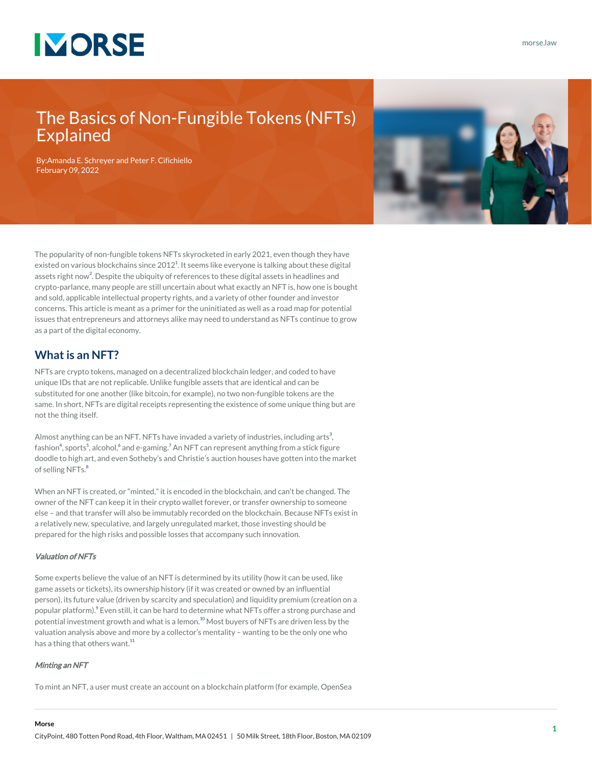

## The Basics of Non-Fungible Tokens (NFTs) Explained

By:[Amanda E. Schreyer](https://www.morse.law/attorney/amanda-schreyer/) and [Peter F. Cifichiello](https://www.morse.law/attorney/peter-cifichiello/) February 09, 2022



The popularity of non-fungible tokens NFTs skyrocketed in early 2021, even though they have existed on various blockchains since 20[1](#page--1-0)2 $^1$ . It seems like everyone is talking about these digital assets right now<sup>[2](#page--1-0)</sup>. Despite the ubiquity of references to these digital assets in headlines and crypto-parlance, many people are still uncertain about what exactly an NFT is, how one is bought and sold, applicable intellectual property rights, and a variety of other founder and investor concerns. This article is meant as a primer for the uninitiated as well as a road map for potential issues that entrepreneurs and attorneys alike may need to understand as NFTs continue to grow as a part of the digital economy.

### **What is an NFT?**

NFTs are crypto tokens, managed on a decentralized blockchain ledger, and coded to have unique IDs that are not replicable. Unlike fungible assets that are identical and can be substituted for one another (like bitcoin, for example), no two non-fungible tokens are the same. In short, NFTs are digital receipts representing the existence of some unique thing but are not the thing itself.

Almost anything can be an NFT. NFTs have invaded a variety of industries, including arts $^3,$  $^3,$  $^3,$ fashion<sup>[4](#page--1-0)</sup>, sports<sup>[5](#page--1-0)</sup>, alcohol,<sup>[6](#page--1-0)</sup> and e-gaming.<sup>[7](#page--1-0)</sup> An NFT can represent anything from a stick figure doodle to high art, and even Sotheby's and Christie's auction houses have gotten into the market of selling NFTs.<sup>[8](#page--1-0)</sup>

When an NFT is created, or "minted," it is encoded in the blockchain, and can't be changed. The owner of the NFT can keep it in their crypto wallet forever, or transfer ownership to someone else – and that transfer will also be immutably recorded on the blockchain. Because NFTs exist in a relatively new, speculative, and largely unregulated market, those investing should be prepared for the high risks and possible losses that accompany such innovation.

#### Valuation of NFTs

Some experts believe the value of an NFT is determined by its utility (how it can be used, like game assets or tickets), its ownership history (if it was created or owned by an influential person), its future value (driven by scarcity and speculation) and liquidity premium (creation on a popular platform). $^9$  $^9$  Even still, it can be hard to determine what NFTs offer a strong purchase and potential investment growth and what is a lemon.<sup>[10](#page--1-0)</sup> Most buyers of NFTs are driven less by the valuation analysis above and more by a collector's mentality – wanting to be the only one who has a thing that others want.<sup>[11](#page--1-0)</sup>

#### Minting an NFT

**Morse**

To mint an NFT, a user must create an account on a blockchain platform (for example, OpenSea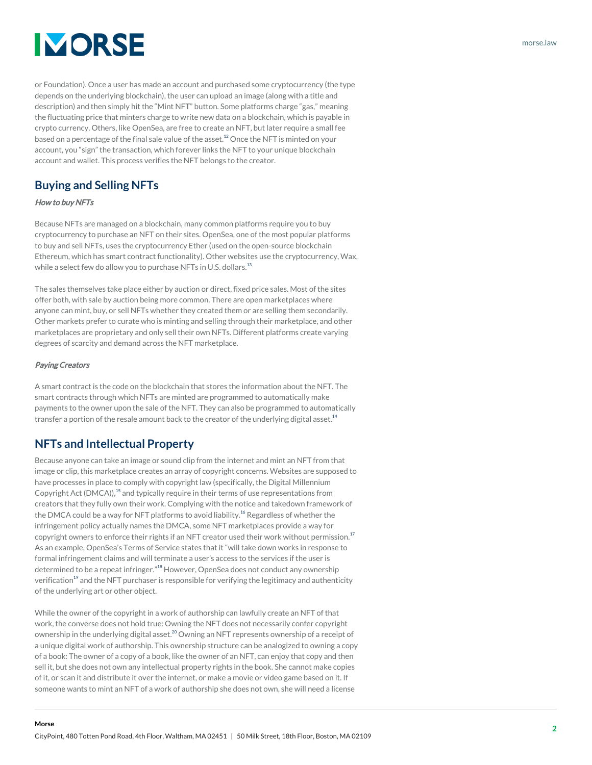# **IMORSE**

or Foundation). Once a user has made an account and purchased some cryptocurrency (the type depends on the underlying blockchain), the user can upload an image (along with a title and description) and then simply hit the "Mint NFT" button. Some platforms charge "gas," meaning the fluctuating price that minters charge to write new data on a blockchain, which is payable in crypto currency. Others, like OpenSea, are free to create an NFT, but later require a small fee based on a percentage of the final sale value of the asset.<sup>[12](#page--1-0)</sup> Once the NFT is minted on your account, you "sign" the transaction, which forever links the NFT to your unique blockchain account and wallet. This process verifies the NFT belongs to the creator.

## **Buying and Selling NFTs**

### How to buy NFTs

Because NFTs are managed on a blockchain, many common platforms require you to buy cryptocurrency to purchase an NFT on their sites. OpenSea, one of the most popular platforms to buy and sell NFTs, uses the cryptocurrency Ether (used on the open-source blockchain Ethereum, which has smart contract functionality). Other websites use the cryptocurrency, Wax, while a select few do allow you to purchase NFTs in U.S. dollars.<sup>[13](#page--1-0)</sup>

The sales themselves take place either by auction or direct, fixed price sales. Most of the sites offer both, with sale by auction being more common. There are open marketplaces where anyone can mint, buy, or sell NFTs whether they created them or are selling them secondarily. Other markets prefer to curate who is minting and selling through their marketplace, and other marketplaces are proprietary and only sell their own NFTs. Different platforms create varying degrees of scarcity and demand across the NFT marketplace.

### Paying Creators

A smart contract is the code on the blockchain that stores the information about the NFT. The smart contracts through which NFTs are minted are programmed to automatically make payments to the owner upon the sale of the NFT. They can also be programmed to automatically transfer a portion of the resale amount back to the creator of the underlying digital asset.<sup>[14](#page--1-0)</sup>

## **NFTs and Intellectual Property**

Because anyone can take an image or sound clip from the internet and mint an NFT from that image or clip, this marketplace creates an array of copyright concerns. Websites are supposed to have processes in place to comply with copyright law (specifically, the Digital Millennium Copyright Act (DMCA)),<sup>[15](#page--1-0)</sup> and typically require in their terms of use representations from creators that they fully own their work. Complying with the notice and takedown framework of the DMCA could be a way for NFT platforms to avoid liability.<sup>[16](#page--1-0)</sup> Regardless of whether the infringement policy actually names the DMCA, some NFT marketplaces provide a way for copyright owners to enforce their rights if an NFT creator used their work without permission.<sup>[17](#page--1-0)</sup> As an example, OpenSea's Terms of Service states that it "will take down works in response to formal infringement claims and will terminate a user's access to the services if the user is determined to be a repeat infringer."<sup>[18](#page--1-0)</sup> However, OpenSea does not conduct any ownership verification<sup>[19](#page--1-0)</sup> and the NFT purchaser is responsible for verifying the legitimacy and authenticity of the underlying art or other object.

While the owner of the copyright in a work of authorship can lawfully create an NFT of that work, the converse does not hold true: Owning the NFT does not necessarily confer copyright ownership in the underlying digital asset.<sup>[20](#page--1-0)</sup> Owning an NFT represents ownership of a receipt of a unique digital work of authorship. This ownership structure can be analogized to owning a copy of a book: The owner of a copy of a book, like the owner of an NFT, can enjoy that copy and then sell it, but she does not own any intellectual property rights in the book. She cannot make copies of it, or scan it and distribute it over the internet, or make a movie or video game based on it. If someone wants to mint an NFT of a work of authorship she does not own, she will need a license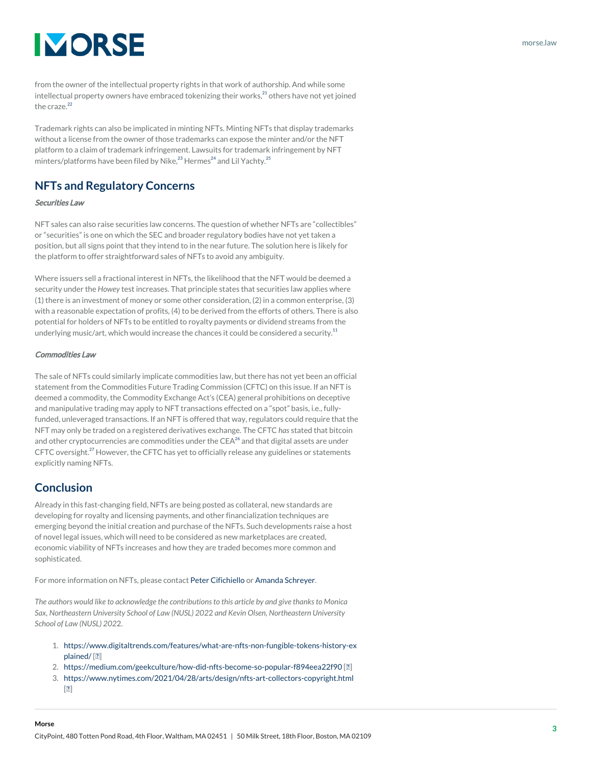# **IMORSE**

from the owner of the intellectual property rights in that work of authorship. And while some intellectual property owners have embraced tokenizing their works,<sup>[21](#page--1-0)</sup> others have not yet joined the craze.<sup>[22](#page--1-0)</sup>

Trademark rights can also be implicated in minting NFTs. Minting NFTs that display trademarks without a license from the owner of those trademarks can expose the minter and/or the NFT platform to a claim of trademark infringement. Lawsuits for trademark infringement by NFT minters/platforms have been filed by Nike, $^{23}$  $^{23}$  $^{23}$  Hermes<sup>[24](#page--1-0)</sup> and Lil Yachty.<sup>[25](#page--1-0)</sup>

## **NFTs and Regulatory Concerns**

#### Securities Law

NFT sales can also raise securities law concerns. The question of whether NFTs are "collectibles" or "securities" is one on which the SEC and broader regulatory bodies have not yet taken a position, but all signs point that they intend to in the near future. The solution here is likely for the platform to offer straightforward sales of NFTs to avoid any ambiguity.

Where issuers sell a fractional interest in NFTs, the likelihood that the NFT would be deemed a security under the *Howey* test increases. That principle states that securities law applies where (1) there is an investment of money or some other consideration, (2) in a common enterprise, (3) with a reasonable expectation of profits, (4) to be derived from the efforts of others. There is also potential for holders of NFTs to be entitled to royalty payments or dividend streams from the underlying music/art, which would increase the chances it could be considered a security.<sup>[11](#page--1-0)</sup>

#### Commodities Law

The sale of NFTs could similarly implicate commodities law, but there has not yet been an official statement from the Commodities Future Trading Commission (CFTC) on this issue. If an NFT is deemed a commodity, the Commodity Exchange Act's (CEA) general prohibitions on deceptive and manipulative trading may apply to NFT transactions effected on a "spot" basis, i.e., fullyfunded, unleveraged transactions. If an NFT is offered that way, regulators could require that the NFT may only be traded on a registered derivatives exchange. The CFTC *has* stated that bitcoin and other cryptocurrencies are commodities under the  $CEA<sup>26</sup>$  $CEA<sup>26</sup>$  $CEA<sup>26</sup>$  and that digital assets are under CFTC oversight.<sup>[27](#page--1-0)</sup> However, the CFTC has yet to officially release any guidelines or statements explicitly naming NFTs.

### **Conclusion**

Already in this fast-changing field, NFTs are being posted as collateral, new standards are developing for royalty and licensing payments, and other financialization techniques are emerging beyond the initial creation and purchase of the NFTs. Such developments raise a host of novel legal issues, which will need to be considered as new marketplaces are created, economic viability of NFTs increases and how they are traded becomes more common and sophisticated.

For more information on NFTs, please contact [Peter Cifichiello](https://www.morse.law/attorney/peter-cifichiello/) or [Amanda Schreyer.](https://www.morse.law/attorney/amanda-schreyer/)

*The authors would like to acknowledge the contributions to this article by and give thanks to Monica Sax, Northeastern University School of Law (NUSL) 202*2 *and Kevin Olsen, Northeastern University School of Law (NUSL) 202*2.

- 1. [https://www.digitaltrends.com/features/what-are-nfts-non-fungible-tokens-history-ex](https://www.digitaltrends.com/features/what-are-nfts-non-fungible-tokens-history-explained/) [plained/](https://www.digitaltrends.com/features/what-are-nfts-non-fungible-tokens-history-explained/) [[↩\]](#page--1-0)
- 2. <https://medium.com/geekculture/how-did-nfts-become-so-popular-f894eea22f90>[[↩](#page--1-0)]
- 3. <https://www.nytimes.com/2021/04/28/arts/design/nfts-art-collectors-copyright.html>  $[2]$